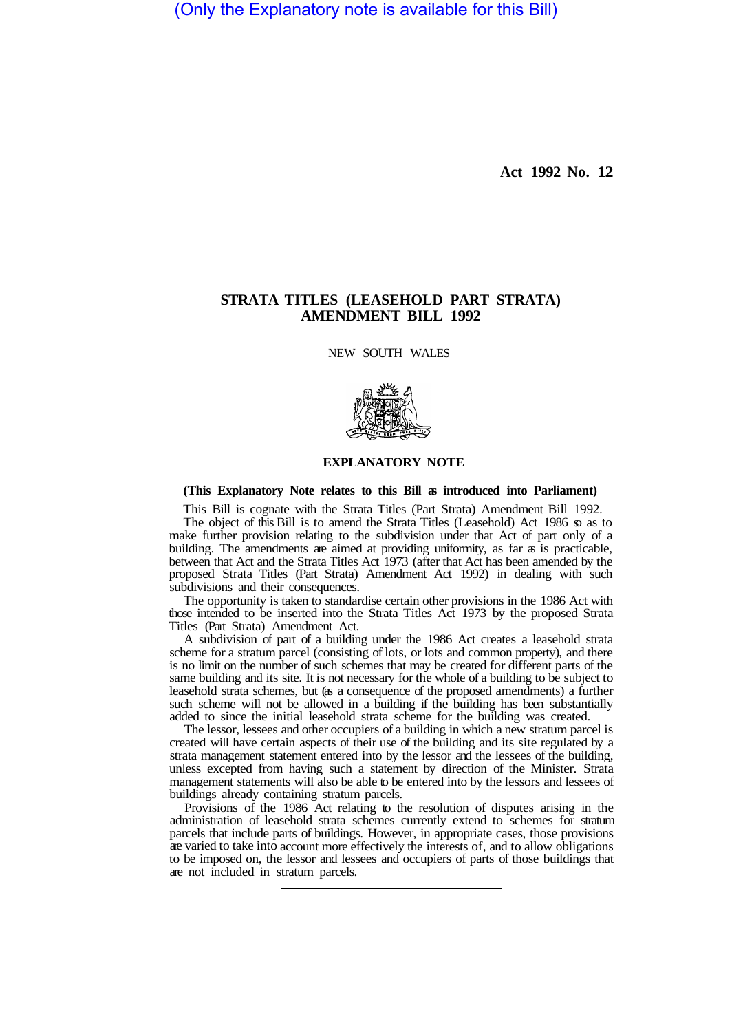(Only the Explanatory note is available for this Bill)

**Act 1992 No. 12** 

# **STRATA TITLES (LEASEHOLD PART STRATA) AMENDMENT BILL 1992**

NEW SOUTH WALES



# **EXPLANATORY NOTE**

**(This Explanatory Note relates to this Bill as introduced into Parliament)** 

This Bill is cognate with the Strata Titles (Part Strata) Amendment Bill 1992. The object of this Bill is to amend the Strata Titles (Leasehold) Act 1986 so as to make further provision relating to the subdivision under that Act of part only of a building. The amendments are aimed at providing uniformity, as far as is practicable, between that Act and the Strata Titles Act 1973 (after that Act has been amended by the proposed Strata Titles (Part Strata) Amendment Act 1992) in dealing with such subdivisions and their consequences.

The opportunity is taken to standardise certain other provisions in the 1986 Act with those intended to be inserted into the Strata Titles Act 1973 by the proposed Strata Titles (Part Strata) Amendment Act.

A subdivision of part of a building under the 1986 Act creates a leasehold strata scheme for a stratum parcel (consisting of lots, or lots and common property), and there is no limit on the number of such schemes that may be created for different parts of the same building and its site. It is not necessary for the whole of a building to be subject to leasehold strata schemes, but (as a consequence of the proposed amendments) a further such scheme will not be allowed in a building if the building has been substantially added to since the initial leasehold strata scheme for the building was created.

The lessor, lessees and other occupiers of a building in which a new stratum parcel is created will have certain aspects of their use of the building and its site regulated by a strata management statement entered into by the lessor and the lessees of the building, unless excepted from having such a statement by direction of the Minister. Strata management statements will also be able to be entered into by the lessors and lessees of buildings already containing stratum parcels.

Provisions of the 1986 Act relating to the resolution of disputes arising in the administration of leasehold strata schemes currently extend to schemes for stratum parcels that include parts of buildings. However, in appropriate cases, those provisions are varied to take into account more effectively the interests of, and to allow obligations to be imposed on, the lessor and lessees and occupiers of parts of those buildings that are not included in stratum parcels.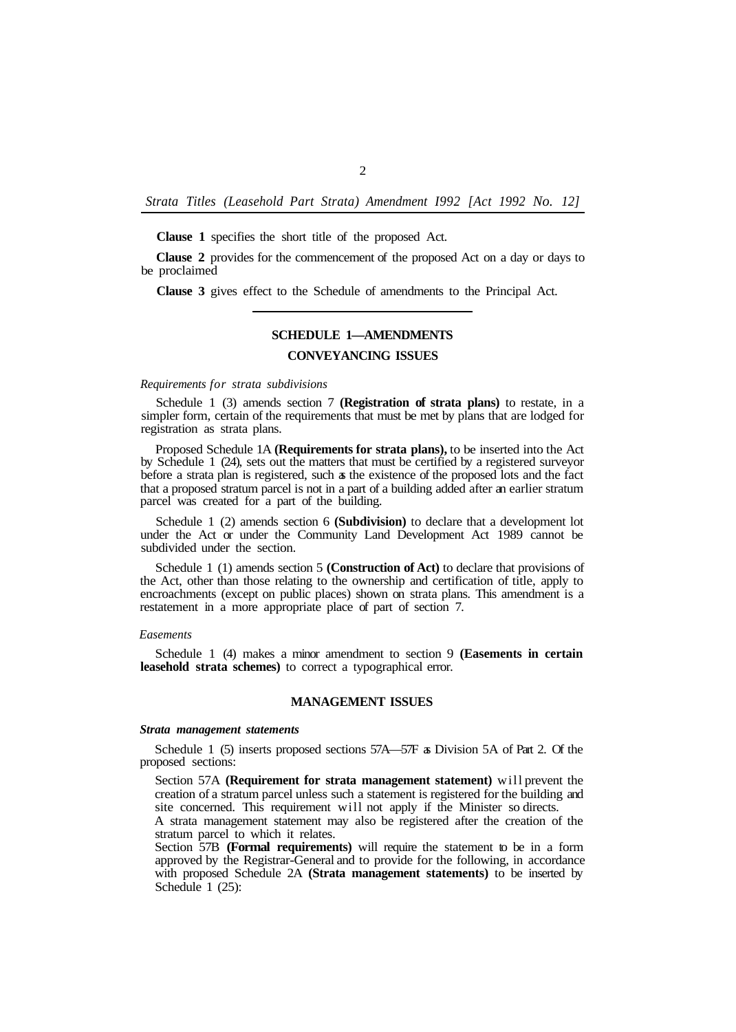*Strata Titles (Leasehold Part Strata) Amendment I992 [Act 1992 No. 12]* 

**Clause 1** specifies the short title of the proposed Act.

**Clause 2** provides for the commencement of the proposed Act on a day or days to be proclaimed

**Clause 3** gives effect to the Schedule of amendments to the Principal Act.

# **SCHEDULE 1—AMENDMENTS**

# **CONVEYANCING ISSUES**

# *Requirements for strata subdivisions*

Schedule 1 (3) amends section 7 **(Registration of strata plans)** to restate, in a simpler form, certain of the requirements that must be met by plans that are lodged for registration as strata plans.

Proposed Schedule 1A **(Requirements for strata plans),** to be inserted into the Act by Schedule 1 (24), sets out the matters that must be certified by a registered surveyor before a strata plan is registered, such as the existence of the proposed lots and the fact that a proposed stratum parcel is not in a part of a building added after an earlier stratum parcel was created for a part of the building.

Schedule 1 (2) amends section 6 **(Subdivision)** to declare that a development lot under the Act or under the Community Land Development Act 1989 cannot be subdivided under the section.

Schedule 1 (1) amends section 5 **(Construction of Act)** to declare that provisions of the Act, other than those relating to the ownership and certification of title, apply to encroachments (except on public places) shown on strata plans. This amendment is a restatement in a more appropriate place of part of section 7.

#### *Easements*

Schedule 1 (4) makes a minor amendment to section 9 **(Easements in certain leasehold strata schemes)** to correct a typographical error.

# **MANAGEMENT ISSUES**

#### *Strata management statements*

Schedule 1 (5) inserts proposed sections 57A—57F as Division 5A of Part 2. Of the proposed sections:

Section 57A **(Requirement for strata management statement)** will prevent the creation of a stratum parcel unless such a statement is registered for the building and site concerned. This requirement will not apply if the Minister so directs.

A strata management statement may also be registered after the creation of the stratum parcel to which it relates.

Section 57B **(Formal requirements)** will require the statement to be in a form approved by the Registrar-General and to provide for the following, in accordance with proposed Schedule 2A **(Strata management statements)** to be inserted by Schedule 1 (25):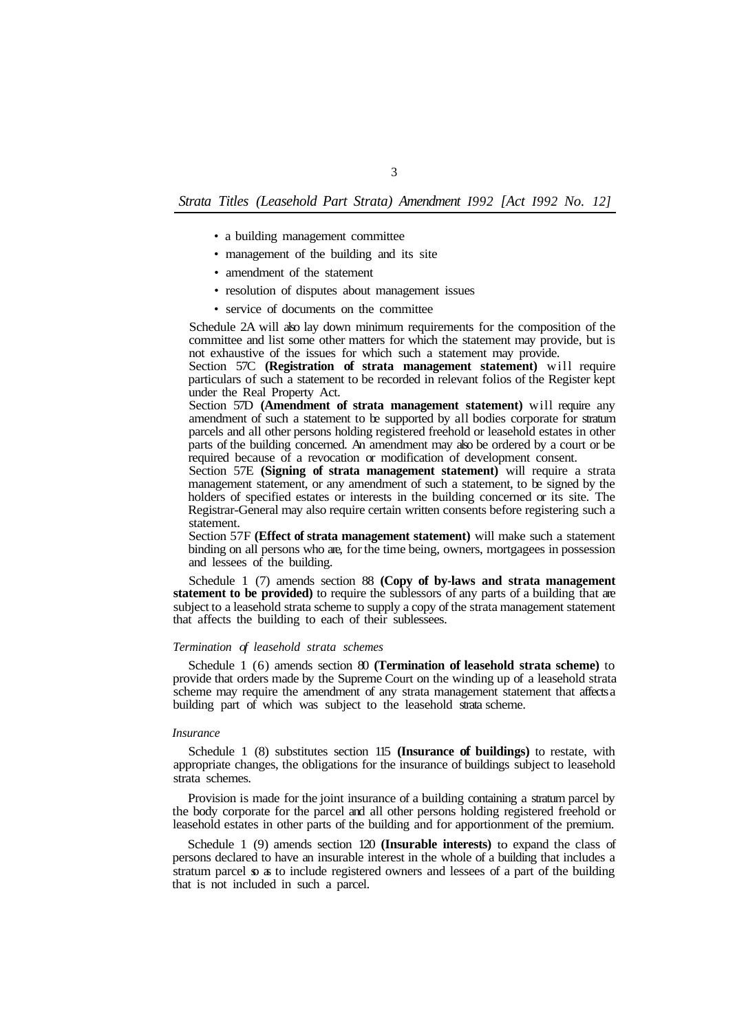# *Strata Titles (Leasehold Part Strata) Amendment I992 [Act I992 No. 12]*

- a building management committee
- management of the building and its site
- amendment of the statement
- resolution of disputes about management issues
- service of documents on the committee

Schedule 2A will also lay down minimum requirements for the composition of the committee and list some other matters for which the statement may provide, but is not exhaustive of the issues for which such a statement may provide.

Section 57C **(Registration of strata management statement)** will require particulars of such a statement to be recorded in relevant folios of the Register kept under the Real Property Act.

Section 57D **(Amendment of strata management statement)** will require any amendment of such a statement to be supported by all bodies corporate for stratum parcels and all other persons holding registered freehold or leasehold estates in other parts of the building concerned. An amendment may also be ordered by a court or be required because of a revocation or modification of development consent.

Section 57E **(Signing of strata management statement)** will require a strata management statement, or any amendment of such a statement, to be signed by the holders of specified estates or interests in the building concerned or its site. The Registrar-General may also require certain written consents before registering such a statement.

Section 57F **(Effect of strata management statement)** will make such a statement binding on all persons who are, for the time being, owners, mortgagees in possession and lessees of the building.

Schedule 1 (7) amends section 88 **(Copy of by-laws and strata management statement to be provided)** to require the sublessors of any parts of a building that are subject to a leasehold strata scheme to supply a copy of the strata management statement that affects the building to each of their sublessees.

#### *Termination of leasehold strata schemes*

Schedule 1 (6) amends section 80 **(Termination of leasehold strata scheme)** to provide that orders made by the Supreme Court on the winding up of a leasehold strata scheme may require the amendment of any strata management statement that affects a building part of which was subject to the leasehold strata scheme.

### *Insurance*

Schedule 1 (8) substitutes section 115 **(Insurance of buildings)** to restate, with appropriate changes, the obligations for the insurance of buildings subject to leasehold strata schemes.

Provision is made for the joint insurance of a building containing a stratum parcel by the body corporate for the parcel and all other persons holding registered freehold or leasehold estates in other parts of the building and for apportionment of the premium.

Schedule 1 (9) amends section 120 **(Insurable interests)** to expand the class of persons declared to have an insurable interest in the whole of a building that includes a stratum parcel so as to include registered owners and lessees of a part of the building that is not included in such a parcel.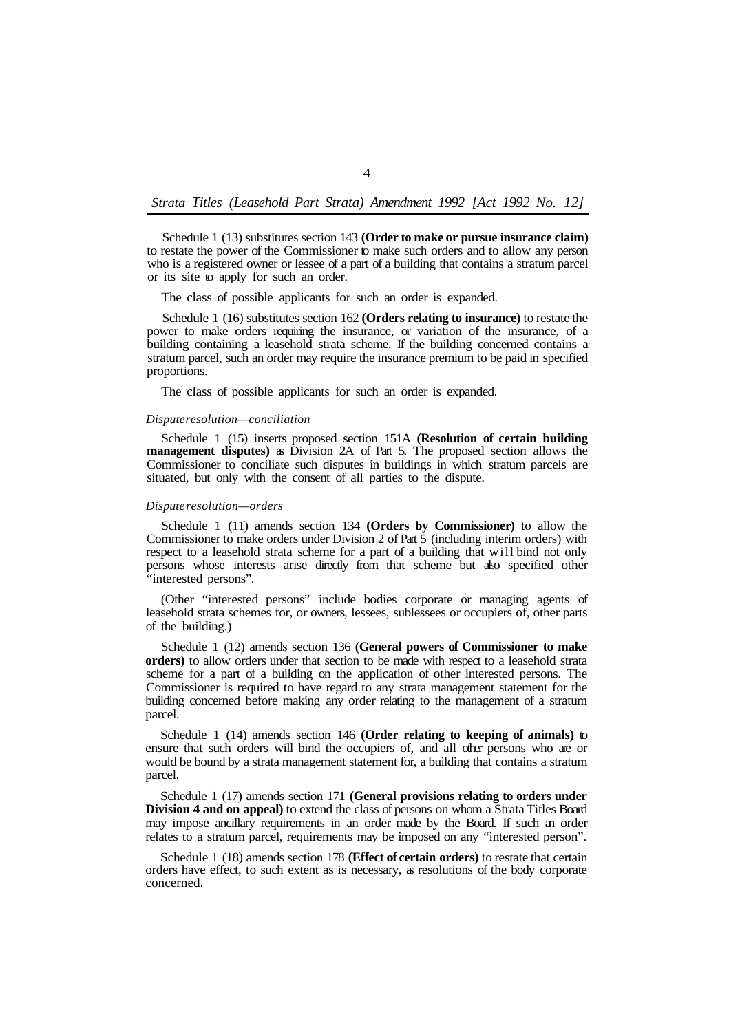# *Strata Titles (Leasehold Part Strata) Amendment 1992 [Act 1992 No. 12]*

Schedule 1 (13) substitutes section 143 **(Order to make or pursue insurance claim)**  to restate the power of the Commissioner to make such orders and to allow any person who is a registered owner or lessee of a part of a building that contains a stratum parcel or its site to apply for such an order.

The class of possible applicants for such an order is expanded.

Schedule 1 (16) substitutes section 162 **(Orders relating to insurance)** to restate the power to make orders requiring the insurance, or variation of the insurance, of a building containing a leasehold strata scheme. If the building concerned contains a stratum parcel, such an order may require the insurance premium to be paid in specified proportions.

The class of possible applicants for such an order is expanded.

#### *Dispute resolution—conciliation*

Schedule 1 (15) inserts proposed section 151A **(Resolution of certain building management disputes)** as Division 2A of Part 5. The proposed section allows the Commissioner to conciliate such disputes in buildings in which stratum parcels are situated, but only with the consent of all parties to the dispute.

#### *Dispute resolution—orders*

Schedule 1 (11) amends section 134 **(Orders by Commissioner)** to allow the Commissioner to make orders under Division 2 of Part 5 (including interim orders) with respect to a leasehold strata scheme for a part of a building that will bind not only persons whose interests arise directly from that scheme but also specified other "interested persons".

(Other "interested persons" include bodies corporate or managing agents of leasehold strata schemes for, or owners, lessees, sublessees or occupiers of, other parts of the building.)

Schedule 1 (12) amends section 136 **(General powers of Commissioner to make orders)** to allow orders under that section to be made with respect to a leasehold strata scheme for a part of a building on the application of other interested persons. The Commissioner is required to have regard to any strata management statement for the building concerned before making any order relating to the management of a stratum parcel.

Schedule 1 (14) amends section 146 **(Order relating to keeping of animals)** to ensure that such orders will bind the occupiers of, and all other persons who are or would be bound by a strata management statement for, a building that contains a stratum parcel.

Schedule 1 (17) amends section 171 **(General provisions relating to orders under Division 4 and on appeal)** to extend the class of persons on whom a Strata Titles Board may impose ancillary requirements in an order made by the Board. If such an order relates to a stratum parcel, requirements may be imposed on any "interested person".

Schedule 1 (18) amends section 178 **(Effect of certain orders)** to restate that certain orders have effect, to such extent as is necessary, as resolutions of the body corporate concerned.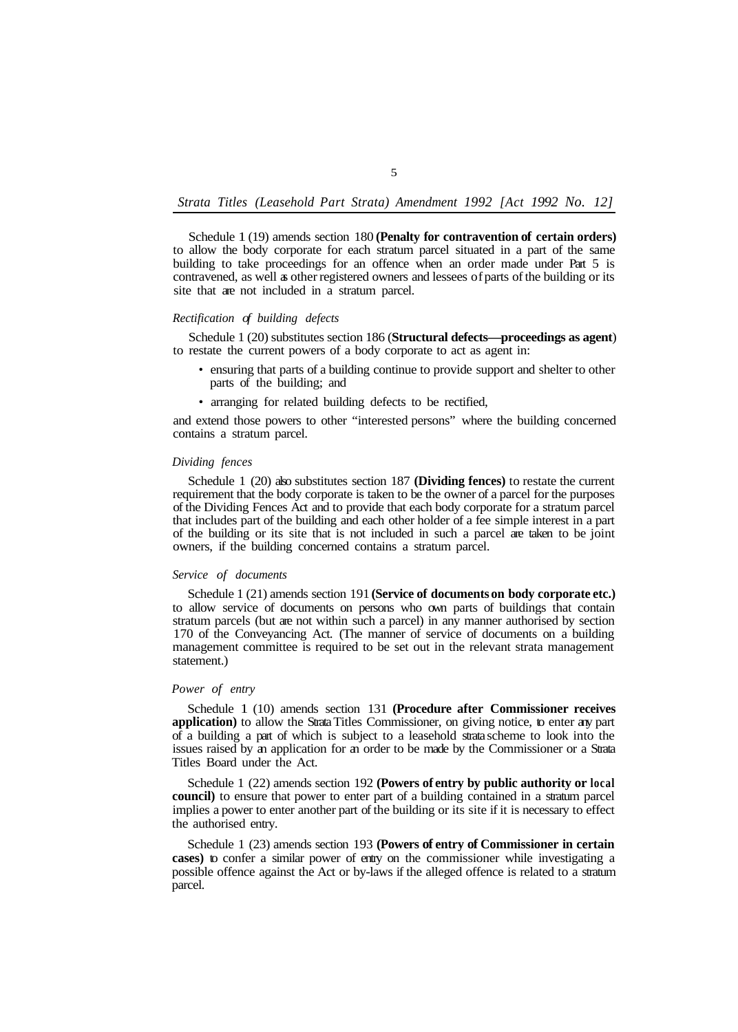# *Strata Titles (Leasehold Part Strata) Amendment 1992 [Act 1992 No. 12]*

Schedule 1 (19) amends section 180 **(Penalty for contravention of certain orders)**  to allow the body corporate for each stratum parcel situated in a part of the same building to take proceedings for an offence when an order made under Part 5 is contravened, as well as other registered owners and lessees of parts of the building or its site that are not included in a stratum parcel.

# *Rectification of building defects*

to restate the current powers of a body corporate to act as agent in: Schedule 1 (20) substitutes section 186 (**Structural defects—proceedings as agent**)

- ensuring that parts of a building continue to provide support and shelter to other parts of the building; and
- arranging for related building defects to be rectified,

and extend those powers to other "interested persons" where the building concerned contains a stratum parcel.

#### *Dividing fences*

Schedule 1 (20) also substitutes section 187 **(Dividing fences)** to restate the current requirement that the body corporate is taken to be the owner of a parcel for the purposes of the Dividing Fences Act and to provide that each body corporate for a stratum parcel that includes part of the building and each other holder of a fee simple interest in a part of the building or its site that is not included in such a parcel are taken to be joint owners, if the building concerned contains a stratum parcel.

#### *Service of documents*

Schedule 1 (21) amends section 191 **(Service of documents on body corporate etc.)**  to allow service of documents on persons who own parts of buildings that contain stratum parcels (but are not within such a parcel) in any manner authorised by section 170 of the Conveyancing Act. (The manner of service of documents on a building management committee is required to be set out in the relevant strata management statement.)

# *Power of entry*

Schedule 1 (10) amends section 131 **(Procedure after Commissioner receives application)** to allow the Strata Titles Commissioner, on giving notice, to enter any part of a building a part of which is subject to a leasehold strata scheme to look into the issues raised by an application for an order to be made by the Commissioner or a Strata Titles Board under the Act.

Schedule 1 (22) amends section 192 **(Powers of entry by public authority or local council)** to ensure that power to enter part of a building contained in a stratum parcel implies a power to enter another part of the building or its site if it is necessary to effect the authorised entry.

Schedule 1 (23) amends section 193 **(Powers of entry of Commissioner in certain cases)** to confer a similar power of entry on the commissioner while investigating a possible offence against the Act or by-laws if the alleged offence is related to a stratum parcel.